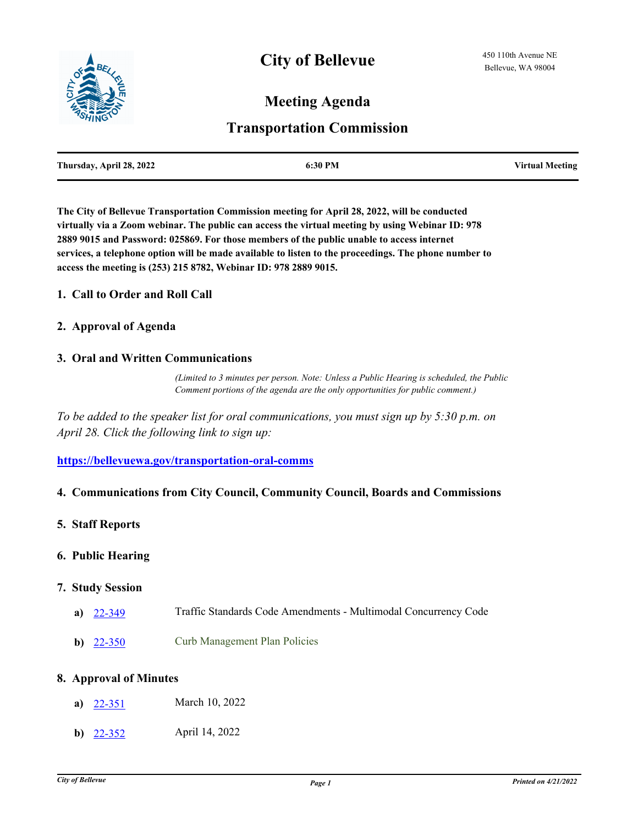# **City of Bellevue**



## **Meeting Agenda**

### **Transportation Commission**

| Thursday, April 28, 2022 | $\cdot 30$ PM | <b>Virtual Meeting</b> |
|--------------------------|---------------|------------------------|
|                          |               |                        |

**The City of Bellevue Transportation Commission meeting for April 28, 2022, will be conducted virtually via a Zoom webinar. The public can access the virtual meeting by using Webinar ID: 978 2889 9015 and Password: 025869. For those members of the public unable to access internet services, a telephone option will be made available to listen to the proceedings. The phone number to access the meeting is (253) 215 8782, Webinar ID: 978 2889 9015.**

#### **1. Call to Order and Roll Call**

#### **2. Approval of Agenda**

#### **3. Oral and Written Communications**

*(Limited to 3 minutes per person. Note: Unless a Public Hearing is scheduled, the Public Comment portions of the agenda are the only opportunities for public comment.)*

*To be added to the speaker list for oral communications, you must sign up by 5:30 p.m. on April 28. Click the following link to sign up:*

**https://bellevuewa.gov/transportation-oral-comms**

#### **4. Communications from City Council, Community Council, Boards and Commissions**

#### **5. Staff Reports**

#### **6. Public Hearing**

#### **7. Study Session**

- **a)** [22-349](http://bellevue.legistar.com/gateway.aspx?m=l&id=/matter.aspx?key=7917) Traffic Standards Code Amendments Multimodal Concurrency Code
- **b)** [22-350](http://bellevue.legistar.com/gateway.aspx?m=l&id=/matter.aspx?key=7918) Curb Management Plan Policies

#### **8. Approval of Minutes**

|  | a) $22 - 351$ | March 10, 2022 |  |  |
|--|---------------|----------------|--|--|
|--|---------------|----------------|--|--|

**b)** [22-352](http://bellevue.legistar.com/gateway.aspx?m=l&id=/matter.aspx?key=7933) April 14, 2022